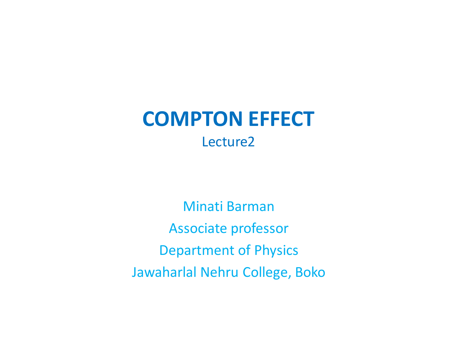## **COMPTON EFFECT**  Lecture2

Minati Barman Associate professor Department of Physics Jawaharlal Nehru College, Boko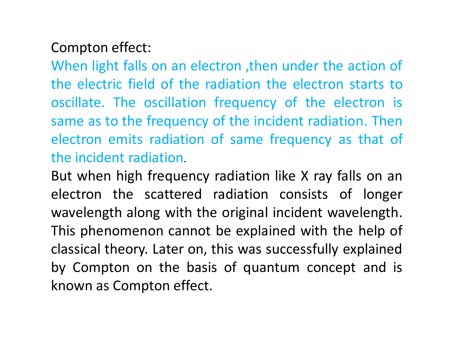## Compton effect:

When light falls on an electron ,then under the action of the electric field of the radiation the electron starts to oscillate. The oscillation frequency of the electron is same as to the frequency of the incident radiation. Then electron emits radiation of same frequency as that of the incident radiation.

But when high frequency radiation like X ray falls on an electron the scattered radiation consists of longer wavelength along with the original incident wavelength. This phenomenon cannot be explained with the help of classical theory. Later on, this was successfully explained by Compton on the basis of quantum concept and is known as Compton effect.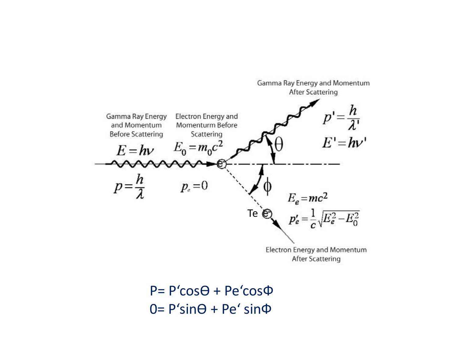

 $P = P' \cos \theta + Pe' \cos \phi$  $0 = P$ 'sin $\Theta$  + Pe' sin $\Phi$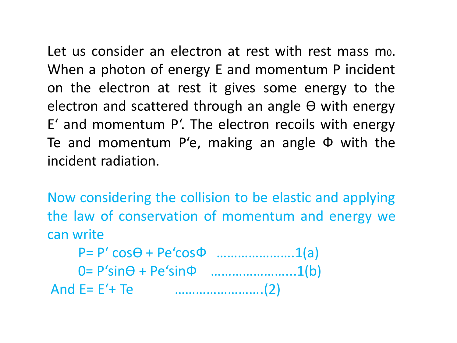Let us consider an electron at rest with rest mass mo. When a photon of energy E and momentum P incident on the electron at rest it gives some energy to the electron and scattered through an angle  $\Theta$  with energy E' and momentum P'. The electron recoils with energy Te and momentum P'e, making an angle  $\Phi$  with the incident radiation.

Now considering the collision to be elastic and applying the law of conservation of momentum and energy we can write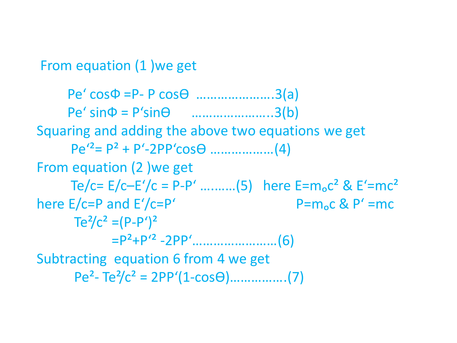From equation (1 )we get

 $Pe' \cos \Phi = P - P \cos \Theta$  ........................3(a) Pe' sinФ = P'sinӨ …………………..3(b) Squaring and adding the above two equations we get Pe'²= P² + P'-2PP'cosӨ ………………(4) From equation (2 )we get Te/c=  $E/c$ – $E'/c$  = P-P' ..........(5) here  $E = m_0c^2$  &  $E' = mc^2$ here  $E/c = P$  and  $E'/c = P'$  P=m<sub>o</sub>c & P' =mc  $Te^{2}/c^{2} = (P-P')^{2}$  =P²+P'² -2PP'……………………(6) Subtracting equation 6 from 4 we get Pe²- Te²/c² = 2PP'(1-cosӨ)…………….(7)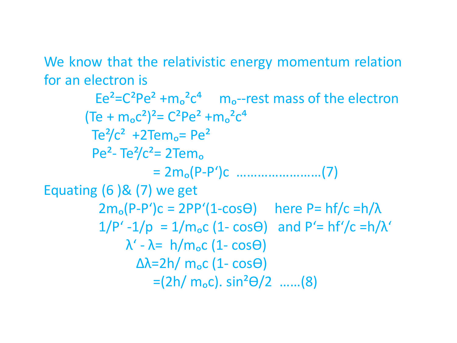We know that the relativistic energy momentum relation for an electron is

 $Ee^{2}=C^{2}Pe^{2}+m_{0}^{2}c^{4}$  m<sub>o</sub>--rest mass of the electron  $(Te + m_0c^2)^2 = C^2Pe^2 + m_0^2c^4$  $Te^{2}/c^{2}$  +2Tem<sub>o</sub>= Pe<sup>2</sup> Pe<sup>2</sup>- Te<sup>2</sup>/c<sup>2</sup>= 2Tem<sub>o</sub> = 2mₒ(P-P')c ……………………(7) Equating  $(6)$  &  $(7)$  we get  $2m_o(P-P')c = 2PP'(1-cos\theta)$  here P= hf/c = h/ $\lambda$  $1/P' - 1/p = 1/m_0c (1 - cos\theta)$  and  $P' = hf'/c = h/\lambda'$  $\lambda'$  -  $\lambda$ = h/m<sub>o</sub>c (1- cos $\Theta$ )  $Δλ=2h/m<sub>o</sub>c (1-cosθ)$  $=(2h/m_0c)$ . sin<sup>2</sup> $\Theta$ /2 ……(8)